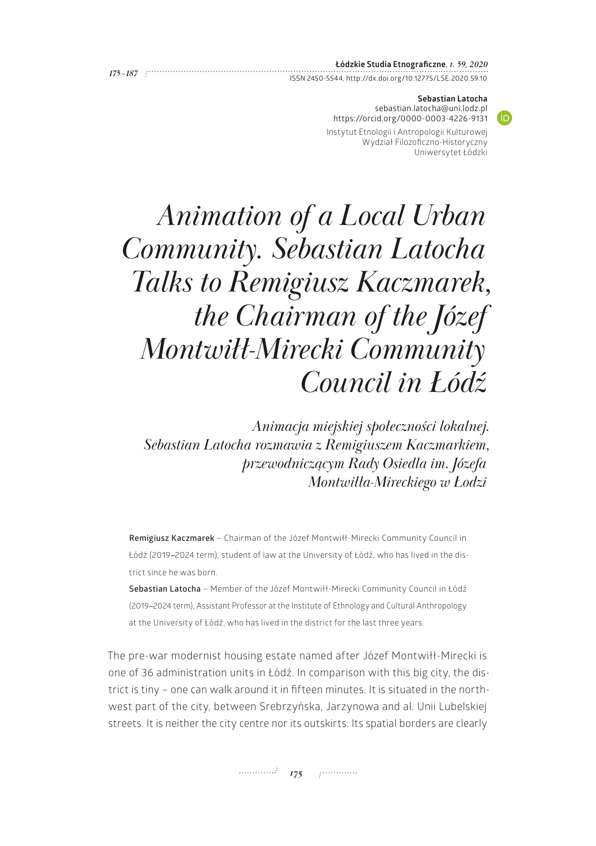|             | Lódzkie Studia Etnograficzne, t. 59, 2020                 |
|-------------|-----------------------------------------------------------|
| $175 - 187$ |                                                           |
|             | ISSN 2450-5544, http://dx.doi.org/10.12775/LSE.2020.59.10 |

## **Sebastian Latocha**

**ID** 

[sebastian.latocha@uni.lodz.pl](mailto:sebastian.latocha@uni.lodz.pl) <https://orcid.org/0000-0003-4226-9131>

Instytut Etnologii i Antropologii Kulturowej Wydział Filozoficzno-Historyczny Uniwersytet Łódzki

# *Animation of a Local Urban Community. Sebastian Latocha Talks to Remigiusz Kaczmarek, the Chairman of the Józef Montwiłł-Mirecki Community Council in Łódź*

*Animacja miejskiej społeczności lokalnej. Sebastian Latocha rozmawia z Remigiuszem Kaczmarkiem, przewodniczącym Rady Osiedla im. Józefa Montwiłła-Mireckiego w Łodzi*

**Remigiusz Kaczmarek** – Chairman of the Józef Montwiłł-Mirecki Community Council in Łódź (2019-2024 term), student of law at the University of Łódź, who has lived in the district since he was born.

**Sebastian Latocha** – Member of the Józef Montwiłł-Mirecki Community Council in Łódź (2019-2024 term), Assistant Professor at the Institute of Ethnology and Cultural Anthropology at the University of Łódź, who has lived in the district for the last three years.

The pre-war modernist housing estate named after Józef Montwiłł-Mirecki is one of 36 administration units in Łódź. In comparison with this big city, the district is tiny – one can walk around it in fifteen minutes. It is situated in the northwest part of the city, between Srebrzyńska, Jarzynowa and al. Unii Lubelskiej streets. It is neither the city centre nor its outskirts. Its spatial borders are clearly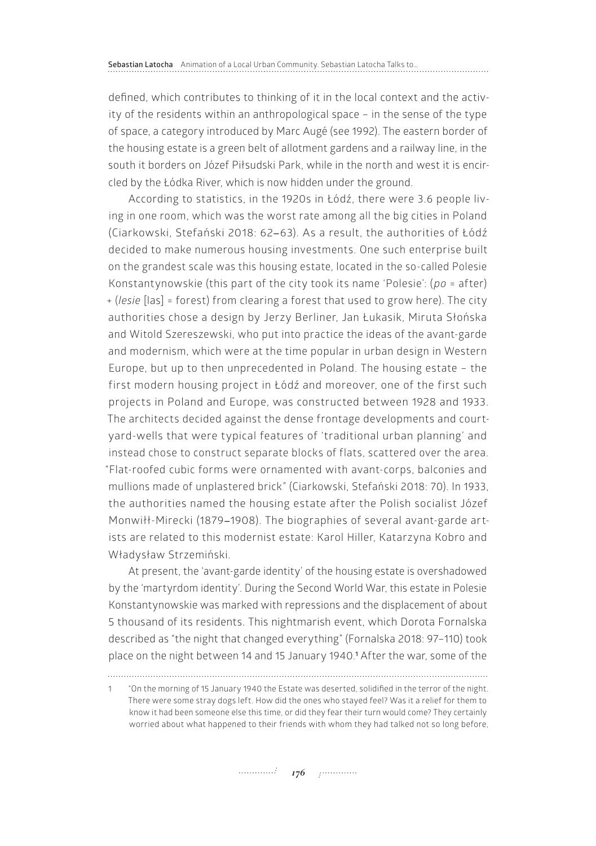defined, which contributes to thinking of it in the local context and the activity of the residents within an anthropological space – in the sense of the type of space, a category introduced by Marc Augé (see 1992). The eastern border of the housing estate is a green belt of allotment gardens and a railway line, in the south it borders on Józef Piłsudski Park, while in the north and west it is encircled by the Łódka River, which is now hidden under the ground.

According to statistics, in the 1920s in Łódź, there were 3.6 people living in one room, which was the worst rate among all the big cities in Poland (Ciarkowski, Stefański 2018: 62-63). As a result, the authorities of Łódź decided to make numerous housing investments. One such enterprise built on the grandest scale was this housing estate, located in the so-called Polesie Konstantynowskie (this part of the city took its name 'Polesie': (*po* = after) + (*lesie* [las] = forest) from clearing a forest that used to grow here). The city authorities chose a design by Jerzy Berliner, Jan Łukasik, Miruta Słońska and Witold Szereszewski, who put into practice the ideas of the avant-garde and modernism, which were at the time popular in urban design in Western Europe, but up to then unprecedented in Poland. The housing estate – the first modern housing project in Łódź and moreover, one of the first such projects in Poland and Europe, was constructed between 1928 and 1933. The architects decided against the dense frontage developments and courtyard-wells that were typical features of 'traditional urban planning' and instead chose to construct separate blocks of flats, scattered over the area. "Flat-roofed cubic forms were ornamented with avant-corps, balconies and mullions made of unplastered brick" (Ciarkowski, Stefański 2018: 70). In 1933, the authorities named the housing estate after the Polish socialist Józef Monwiłł-Mirecki (1879-1908). The biographies of several avant-garde artists are related to this modernist estate: Karol Hiller, Katarzyna Kobro and Władysław Strzemiński.

At present, the 'avant-garde identity' of the housing estate is overshadowed by the 'martyrdom identity'. During the Second World War, this estate in Polesie Konstantynowskie was marked with repressions and the displacement of about 5 thousand of its residents. This nightmarish event, which Dorota Fornalska described as "the night that changed everything" (Fornalska 2018: 97–110) took place on the night between 14 and 15 January 1940.**<sup>1</sup>** After the war, some of the

<sup>1</sup> "On the morning of 15 January 1940 the Estate was deserted, solidified in the terror of the night. There were some stray dogs left. How did the ones who stayed feel? Was it a relief for them to know it had been someone else this time, or did they fear their turn would come? They certainly worried about what happened to their friends with whom they had talked not so long before,

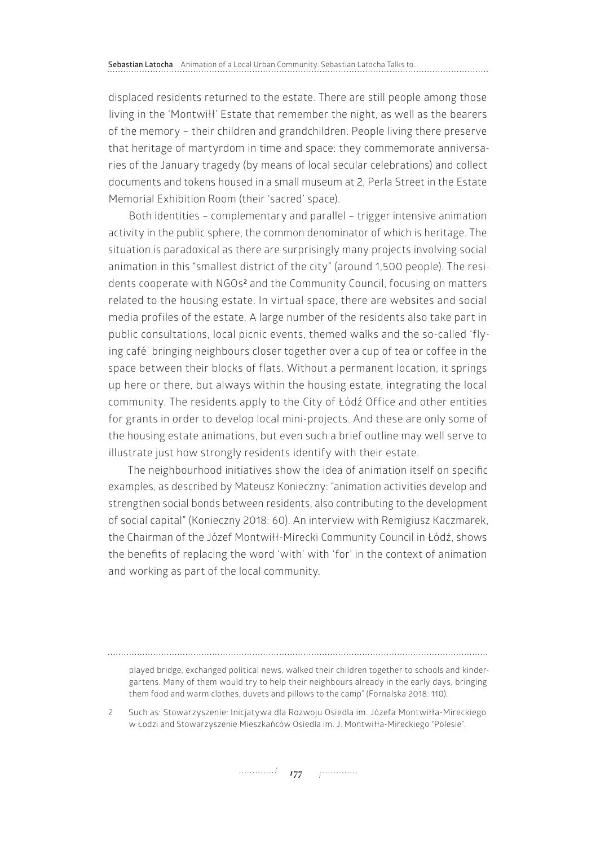displaced residents returned to the estate. There are still people among those living in the 'Montwiłł' Estate that remember the night, as well as the bearers of the memory – their children and grandchildren. People living there preserve that heritage of martyrdom in time and space: they commemorate anniversaries of the January tragedy (by means of local secular celebrations) and collect documents and tokens housed in a small museum at 2, Perla Street in the Estate Memorial Exhibition Room (their 'sacred' space).

Both identities – complementary and parallel – trigger intensive animation activity in the public sphere, the common denominator of which is heritage. The situation is paradoxical as there are surprisingly many projects involving social animation in this "smallest district of the city" (around 1,500 people). The residents cooperate with NGOs<sup>2</sup> and the Community Council, focusing on matters related to the housing estate. In virtual space, there are websites and social media profiles of the estate. A large number of the residents also take part in public consultations, local picnic events, themed walks and the so-called 'flying café' bringing neighbours closer together over a cup of tea or coffee in the space between their blocks of flats. Without a permanent location, it springs up here or there, but always within the housing estate, integrating the local community. The residents apply to the City of Łódź Office and other entities for grants in order to develop local mini-projects. And these are only some of the housing estate animations, but even such a brief outline may well serve to illustrate just how strongly residents identify with their estate.

The neighbourhood initiatives show the idea of animation itself on specific examples, as described by Mateusz Konieczny: "animation activities develop and strengthen social bonds between residents, also contributing to the development of social capital" (Konieczny 2018: 60). An interview with Remigiusz Kaczmarek, the Chairman of the Józef Montwiłł-Mirecki Community Council in Łódź, shows the benefits of replacing the word 'with' with 'for' in the context of animation and working as part of the local community.

played bridge, exchanged political news, walked their children together to schools and kindergartens. Many of them would try to help their neighbours already in the early days, bringing them food and warm clothes, duvets and pillows to the camp" (Fornalska 2018: 110).

<sup>2</sup> Such as: Stowarzyszenie: Inicjatywa dla Rozwoju Osiedla im. Józefa Montwiłła-Mireckiego w Łodzi and Stowarzyszenie Mieszkańców Osiedla im. J. Montwiłła-Mireckiego "Polesie".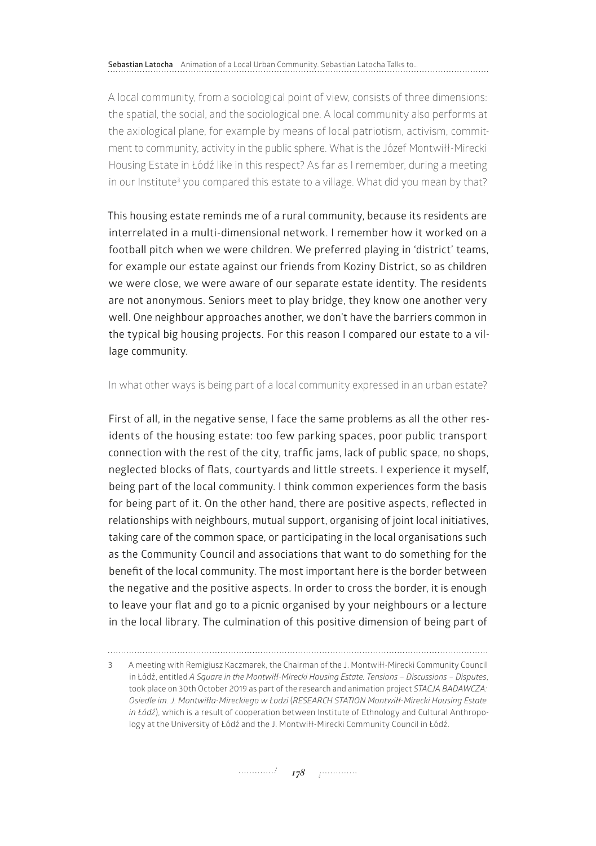**Sebastian Latocha** Animation of a Local Urban Community. Sebastian Latocha Talks to…

A local community, from a sociological point of view, consists of three dimensions: the spatial, the social, and the sociological one. A local community also performs at the axiological plane, for example by means of local patriotism, activism, commitment to community, activity in the public sphere. What is the Józef Montwiłł-Mirecki Housing Estate in Łódź like in this respect? As far as I remember, during a meeting in our Institute<sup>3</sup> you compared this estate to a village. What did you mean by that?

This housing estate reminds me of a rural community, because its residents are interrelated in a multi-dimensional network. I remember how it worked on a football pitch when we were children. We preferred playing in 'district' teams, for example our estate against our friends from Koziny District, so as children we were close, we were aware of our separate estate identity. The residents are not anonymous. Seniors meet to play bridge, they know one another very well. One neighbour approaches another, we don't have the barriers common in the typical big housing projects. For this reason I compared our estate to a village community.

### In what other ways is being part of a local community expressed in an urban estate?

First of all, in the negative sense, I face the same problems as all the other residents of the housing estate: too few parking spaces, poor public transport connection with the rest of the city, traffic jams, lack of public space, no shops, neglected blocks of flats, courtyards and little streets. I experience it myself, being part of the local community. I think common experiences form the basis for being part of it. On the other hand, there are positive aspects, reflected in relationships with neighbours, mutual support, organising of joint local initiatives, taking care of the common space, or participating in the local organisations such as the Community Council and associations that want to do something for the benefit of the local community. The most important here is the border between the negative and the positive aspects. In order to cross the border, it is enough to leave your flat and go to a picnic organised by your neighbours or a lecture in the local library. The culmination of this positive dimension of being part of

<sup>3</sup> A meeting with Remigiusz Kaczmarek, the Chairman of the J. Montwiłł-Mirecki Community Council in Łódź, entitled *A Square in the Montwiłł-Mirecki Housing Estate. Tensions – Discussions – Disputes*, took place on 30th October 2019 as part of the research and animation project *STACJA BADAWCZA: Osiedle im. J. Montwiłła-Mireckiego w Łodzi* (*RESEARCH STATION Montwiłł-Mirecki Housing Estate in Łódź*), which is a result of cooperation between Institute of Ethnology and Cultural Anthropology at the University of Łódź and the J. Montwiłł-Mirecki Community Council in Łódź.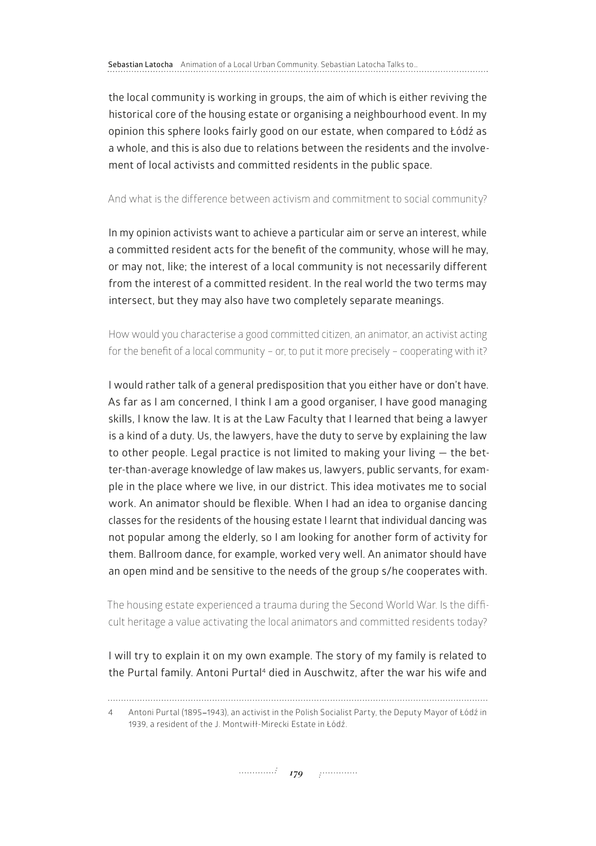the local community is working in groups, the aim of which is either reviving the historical core of the housing estate or organising a neighbourhood event. In my opinion this sphere looks fairly good on our estate, when compared to Łódź as a whole, and this is also due to relations between the residents and the involvement of local activists and committed residents in the public space.

### And what is the difference between activism and commitment to social community?

In my opinion activists want to achieve a particular aim or serve an interest, while a committed resident acts for the benefit of the community, whose will he may, or may not, like; the interest of a local community is not necessarily different from the interest of a committed resident. In the real world the two terms may intersect, but they may also have two completely separate meanings.

How would you characterise a good committed citizen, an animator, an activist acting for the benefit of a local community – or, to put it more precisely – cooperating with it?

I would rather talk of a general predisposition that you either have or don't have. As far as I am concerned, I think I am a good organiser, I have good managing skills, I know the law. It is at the Law Faculty that I learned that being a lawyer is a kind of a duty. Us, the lawyers, have the duty to serve by explaining the law to other people. Legal practice is not limited to making your living — the better-than-average knowledge of law makes us, lawyers, public servants, for example in the place where we live, in our district. This idea motivates me to social work. An animator should be flexible. When I had an idea to organise dancing classes for the residents of the housing estate I learnt that individual dancing was not popular among the elderly, so I am looking for another form of activity for them. Ballroom dance, for example, worked very well. An animator should have an open mind and be sensitive to the needs of the group s/he cooperates with.

The housing estate experienced a trauma during the Second World War. Is the difficult heritage a value activating the local animators and committed residents today?

I will try to explain it on my own example. The story of my family is related to the Purtal family. Antoni Purtal<sup>4</sup> died in Auschwitz, after the war his wife and

<sup>4</sup> Antoni Purtal (1895-1943), an activist in the Polish Socialist Party, the Deputy Mayor of Łódź in 1939, a resident of the J. Montwiłł-Mirecki Estate in Łódź.

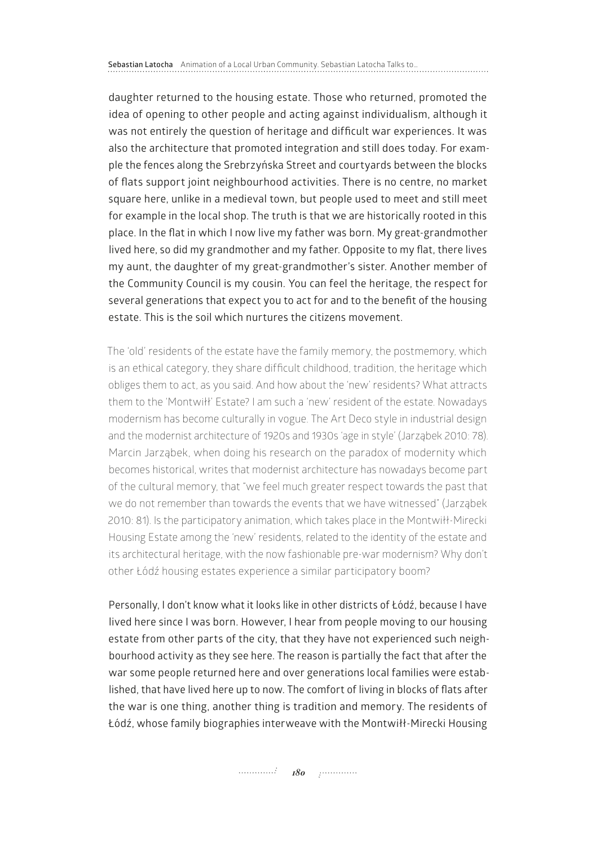daughter returned to the housing estate. Those who returned, promoted the idea of opening to other people and acting against individualism, although it was not entirely the question of heritage and difficult war experiences. It was also the architecture that promoted integration and still does today. For example the fences along the Srebrzyńska Street and courtyards between the blocks of flats support joint neighbourhood activities. There is no centre, no market square here, unlike in a medieval town, but people used to meet and still meet for example in the local shop. The truth is that we are historically rooted in this place. In the flat in which I now live my father was born. My great-grandmother lived here, so did my grandmother and my father. Opposite to my flat, there lives my aunt, the daughter of my great-grandmother's sister. Another member of the Community Council is my cousin. You can feel the heritage, the respect for several generations that expect you to act for and to the benefit of the housing estate. This is the soil which nurtures the citizens movement.

The 'old' residents of the estate have the family memory, the postmemory, which is an ethical category, they share difficult childhood, tradition, the heritage which obliges them to act, as you said. And how about the 'new' residents? What attracts them to the 'Montwiłł' Estate? I am such a 'new' resident of the estate. Nowadays modernism has become culturally in vogue. The Art Deco style in industrial design and the modernist architecture of 1920s and 1930s 'age in style' (Jarząbek 2010: 78). Marcin Jarząbek, when doing his research on the paradox of modernity which becomes historical, writes that modernist architecture has nowadays become part of the cultural memory, that "we feel much greater respect towards the past that we do not remember than towards the events that we have witnessed" (Jarząbek 2010: 81). Is the participatory animation, which takes place in the Montwiłł-Mirecki Housing Estate among the 'new' residents, related to the identity of the estate and its architectural heritage, with the now fashionable pre-war modernism? Why don't other Łódź housing estates experience a similar participatory boom?

Personally, I don't know what it looks like in other districts of Łódź, because I have lived here since I was born. However, I hear from people moving to our housing estate from other parts of the city, that they have not experienced such neighbourhood activity as they see here. The reason is partially the fact that after the war some people returned here and over generations local families were established, that have lived here up to now. The comfort of living in blocks of flats after the war is one thing, another thing is tradition and memory. The residents of Łódź, whose family biographies interweave with the Montwiłł-Mirecki Housing

*180 180 <i>p 180*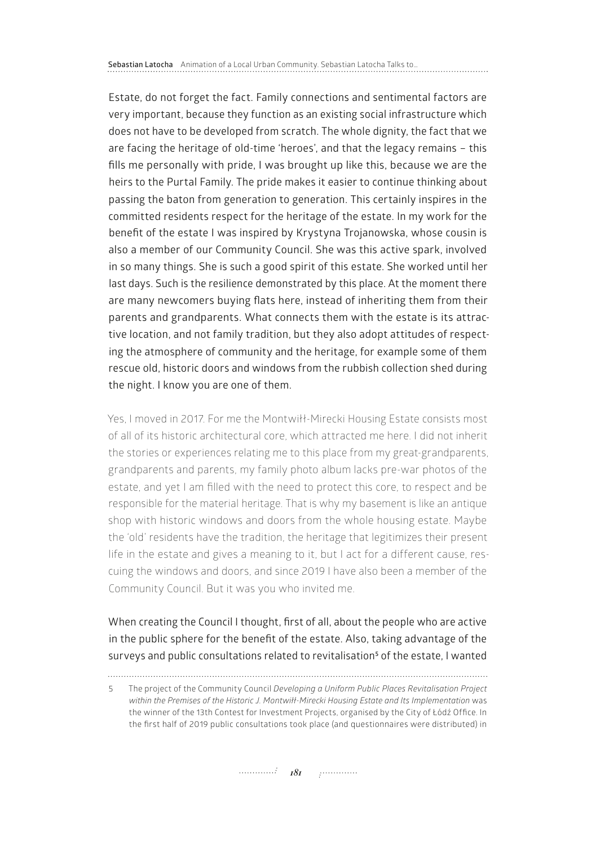Estate, do not forget the fact. Family connections and sentimental factors are very important, because they function as an existing social infrastructure which does not have to be developed from scratch. The whole dignity, the fact that we are facing the heritage of old-time 'heroes', and that the legacy remains – this fills me personally with pride, I was brought up like this, because we are the heirs to the Purtal Family. The pride makes it easier to continue thinking about passing the baton from generation to generation. This certainly inspires in the committed residents respect for the heritage of the estate. In my work for the benefit of the estate I was inspired by Krystyna Trojanowska, whose cousin is also a member of our Community Council. She was this active spark, involved in so many things. She is such a good spirit of this estate. She worked until her last days. Such is the resilience demonstrated by this place. At the moment there are many newcomers buying flats here, instead of inheriting them from their parents and grandparents. What connects them with the estate is its attractive location, and not family tradition, but they also adopt attitudes of respecting the atmosphere of community and the heritage, for example some of them rescue old, historic doors and windows from the rubbish collection shed during the night. I know you are one of them.

Yes, I moved in 2017. For me the Montwiłł-Mirecki Housing Estate consists most of all of its historic architectural core, which attracted me here. I did not inherit the stories or experiences relating me to this place from my great-grandparents, grandparents and parents, my family photo album lacks pre-war photos of the estate, and yet I am filled with the need to protect this core, to respect and be responsible for the material heritage. That is why my basement is like an antique shop with historic windows and doors from the whole housing estate. Maybe the 'old' residents have the tradition, the heritage that legitimizes their present life in the estate and gives a meaning to it, but I act for a different cause, rescuing the windows and doors, and since 2019 I have also been a member of the Community Council. But it was you who invited me.

When creating the Council I thought, first of all, about the people who are active in the public sphere for the benefit of the estate. Also, taking advantage of the surveys and public consultations related to revitalisation<sup>s</sup> of the estate, I wanted

<sup>5</sup> The project of the Community Council *Developing a Uniform Public Places Revitalisation Project within the Premises of the Historic J. Montwiłł-Mirecki Housing Estate and Its Implementation* was the winner of the 13th Contest for Investment Projects, organised by the City of Łódź Office. In the first half of 2019 public consultations took place (and questionnaires were distributed) in

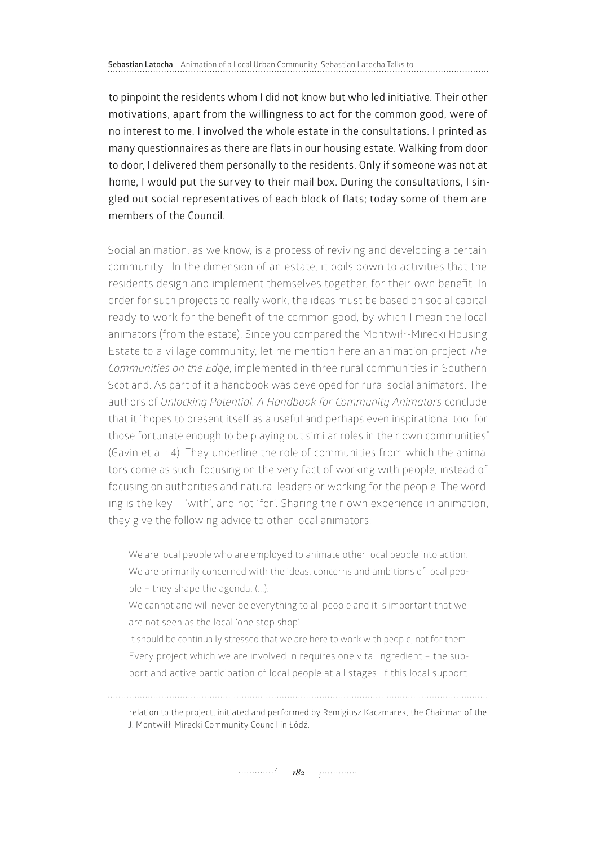to pinpoint the residents whom I did not know but who led initiative. Their other motivations, apart from the willingness to act for the common good, were of no interest to me. I involved the whole estate in the consultations. I printed as many questionnaires as there are flats in our housing estate. Walking from door to door, I delivered them personally to the residents. Only if someone was not at home, I would put the survey to their mail box. During the consultations, I singled out social representatives of each block of flats; today some of them are members of the Council.

Social animation, as we know, is a process of reviving and developing a certain community. In the dimension of an estate, it boils down to activities that the residents design and implement themselves together, for their own benefit. In order for such projects to really work, the ideas must be based on social capital ready to work for the benefit of the common good, by which I mean the local animators (from the estate). Since you compared the Montwiłł-Mirecki Housing Estate to a village community, let me mention here an animation project *The Communities on the Edge*, implemented in three rural communities in Southern Scotland. As part of it a handbook was developed for rural social animators. The authors of *Unlocking Potential. A Handbook for Community Animators* conclude that it "hopes to present itself as a useful and perhaps even inspirational tool for those fortunate enough to be playing out similar roles in their own communities" (Gavin et al.: 4). They underline the role of communities from which the animators come as such, focusing on the very fact of working with people, instead of focusing on authorities and natural leaders or working for the people. The wording is the key – 'with', and not 'for'. Sharing their own experience in animation, they give the following advice to other local animators:

We are local people who are employed to animate other local people into action. We are primarily concerned with the ideas, concerns and ambitions of local people - they shape the agenda. (...).

We cannot and will never be everything to all people and it is important that we are not seen as the local 'one stop shop'.

It should be continually stressed that we are here to work with people, not for them. Every project which we are involved in requires one vital ingredient – the support and active participation of local people at all stages. If this local support

relation to the project, initiated and performed by Remigiusz Kaczmarek, the Chairman of the J. Montwiłł-Mirecki Community Council in Łódź.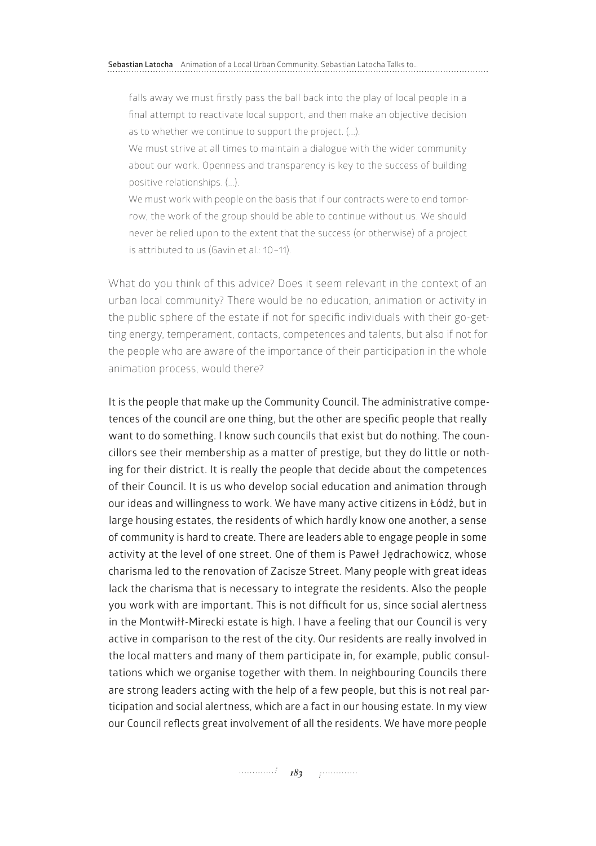falls away we must firstly pass the ball back into the play of local people in a final attempt to reactivate local support, and then make an objective decision as to whether we continue to support the project. (...).

We must strive at all times to maintain a dialogue with the wider community about our work. Openness and transparency is key to the success of building positive relationships. (...).

We must work with people on the basis that if our contracts were to end tomorrow, the work of the group should be able to continue without us. We should never be relied upon to the extent that the success (or otherwise) of a project is attributed to us (Gavin et al.: 10–11).

What do you think of this advice? Does it seem relevant in the context of an urban local community? There would be no education, animation or activity in the public sphere of the estate if not for specific individuals with their go-getting energy, temperament, contacts, competences and talents, but also if not for the people who are aware of the importance of their participation in the whole animation process, would there?

It is the people that make up the Community Council. The administrative competences of the council are one thing, but the other are specific people that really want to do something. I know such councils that exist but do nothing. The councillors see their membership as a matter of prestige, but they do little or nothing for their district. It is really the people that decide about the competences of their Council. It is us who develop social education and animation through our ideas and willingness to work. We have many active citizens in Łódź, but in large housing estates, the residents of which hardly know one another, a sense of community is hard to create. There are leaders able to engage people in some activity at the level of one street. One of them is Paweł Jędrachowicz, whose charisma led to the renovation of Zacisze Street. Many people with great ideas lack the charisma that is necessary to integrate the residents. Also the people you work with are important. This is not difficult for us, since social alertness in the Montwiłł-Mirecki estate is high. I have a feeling that our Council is very active in comparison to the rest of the city. Our residents are really involved in the local matters and many of them participate in, for example, public consultations which we organise together with them. In neighbouring Councils there are strong leaders acting with the help of a few people, but this is not real participation and social alertness, which are a fact in our housing estate. In my view our Council reflects great involvement of all the residents. We have more people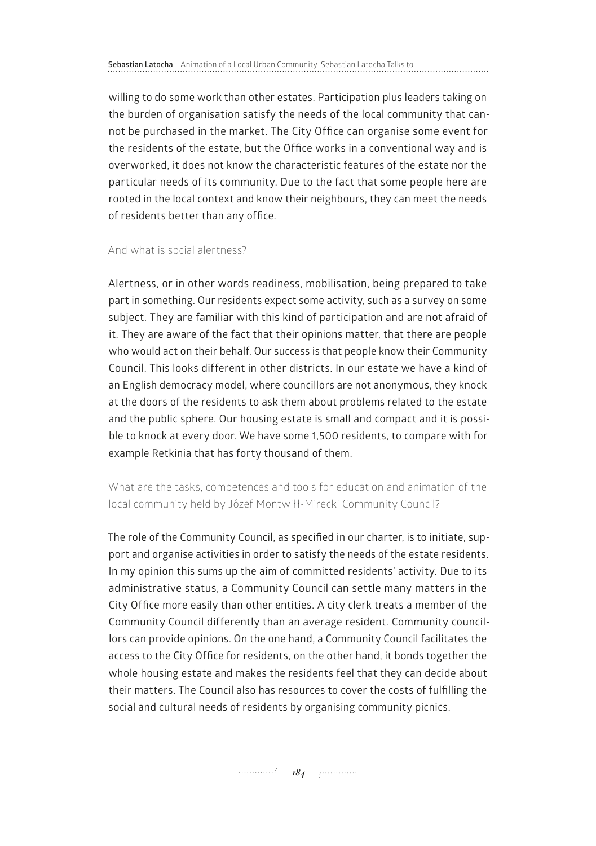willing to do some work than other estates. Participation plus leaders taking on the burden of organisation satisfy the needs of the local community that cannot be purchased in the market. The City Office can organise some event for the residents of the estate, but the Office works in a conventional way and is overworked, it does not know the characteristic features of the estate nor the particular needs of its community. Due to the fact that some people here are rooted in the local context and know their neighbours, they can meet the needs of residents better than any office.

### And what is social alertness?

Alertness, or in other words readiness, mobilisation, being prepared to take part in something. Our residents expect some activity, such as a survey on some subject. They are familiar with this kind of participation and are not afraid of it. They are aware of the fact that their opinions matter, that there are people who would act on their behalf. Our success is that people know their Community Council. This looks different in other districts. In our estate we have a kind of an English democracy model, where councillors are not anonymous, they knock at the doors of the residents to ask them about problems related to the estate and the public sphere. Our housing estate is small and compact and it is possible to knock at every door. We have some 1,500 residents, to compare with for example Retkinia that has forty thousand of them.

What are the tasks, competences and tools for education and animation of the local community held by Józef Montwiłł-Mirecki Community Council?

The role of the Community Council, as specified in our charter, is to initiate, support and organise activities in order to satisfy the needs of the estate residents. In my opinion this sums up the aim of committed residents' activity. Due to its administrative status, a Community Council can settle many matters in the City Office more easily than other entities. A city clerk treats a member of the Community Council differently than an average resident. Community councillors can provide opinions. On the one hand, a Community Council facilitates the access to the City Office for residents, on the other hand, it bonds together the whole housing estate and makes the residents feel that they can decide about their matters. The Council also has resources to cover the costs of fulfilling the social and cultural needs of residents by organising community picnics.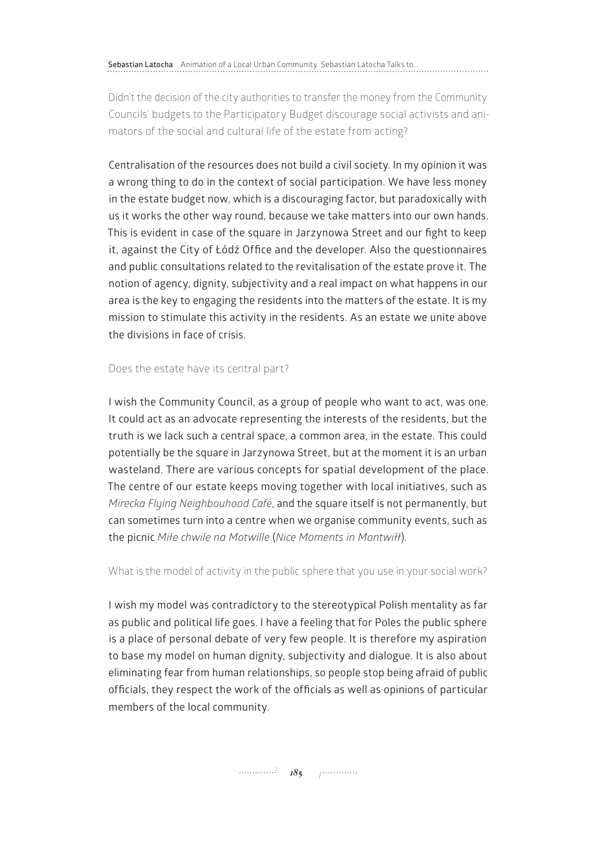Didn't the decision of the city authorities to transfer the money from the Community Councils' budgets to the Participatory Budget discourage social activists and animators of the social and cultural life of the estate from acting?

Centralisation of the resources does not build a civil society. In my opinion it was a wrong thing to do in the context of social participation. We have less money in the estate budget now, which is a discouraging factor, but paradoxically with us it works the other way round, because we take matters into our own hands. This is evident in case of the square in Jarzynowa Street and our fight to keep it, against the City of Łódź Office and the developer. Also the questionnaires and public consultations related to the revitalisation of the estate prove it. The notion of agency, dignity, subjectivity and a real impact on what happens in our area is the key to engaging the residents into the matters of the estate. It is my mission to stimulate this activity in the residents. As an estate we unite above the divisions in face of crisis.

### Does the estate have its central part?

I wish the Community Council, as a group of people who want to act, was one. It could act as an advocate representing the interests of the residents, but the truth is we lack such a central space, a common area, in the estate. This could potentially be the square in Jarzynowa Street, but at the moment it is an urban wasteland. There are various concepts for spatial development of the place. The centre of our estate keeps moving together with local initiatives, such as *Mirecka Flying Neighbouhood Café*, and the square itself is not permanently, but can sometimes turn into a centre when we organise community events, such as the picnic *Miłe chwile na Motwille* (*Nice Moments in Montwiłł*).

What is the model of activity in the public sphere that you use in your social work?

I wish my model was contradictory to the stereotypical Polish mentality as far as public and political life goes. I have a feeling that for Poles the public sphere is a place of personal debate of very few people. It is therefore my aspiration to base my model on human dignity, subjectivity and dialogue. It is also about eliminating fear from human relationships, so people stop being afraid of public officials, they respect the work of the officials as well as opinions of particular members of the local community.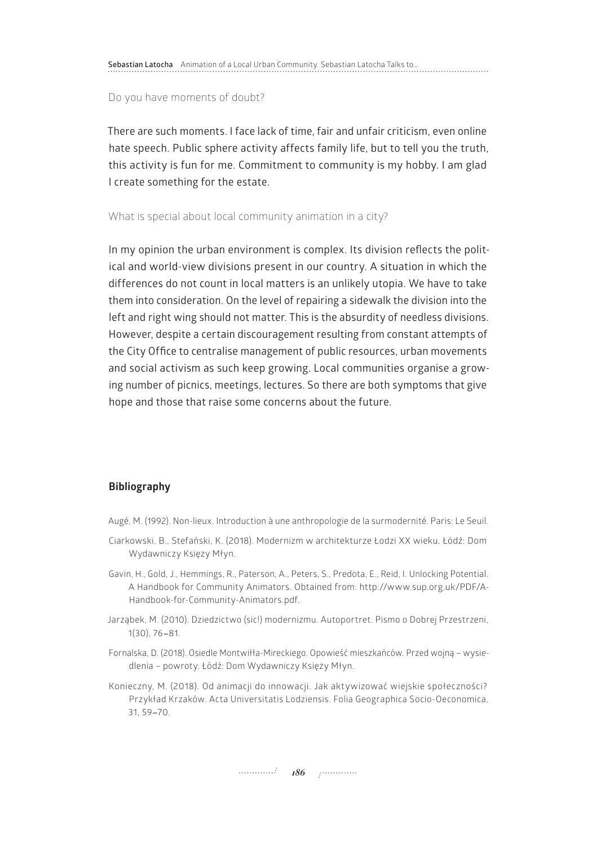**Sebastian Latocha** Animation of a Local Urban Community. Sebastian Latocha Talks to…

Do you have moments of doubt?

There are such moments. I face lack of time, fair and unfair criticism, even online hate speech. Public sphere activity affects family life, but to tell you the truth, this activity is fun for me. Commitment to community is my hobby. I am glad I create something for the estate.

What is special about local community animation in a city?

In my opinion the urban environment is complex. Its division reflects the political and world-view divisions present in our country. A situation in which the differences do not count in local matters is an unlikely utopia. We have to take them into consideration. On the level of repairing a sidewalk the division into the left and right wing should not matter. This is the absurdity of needless divisions. However, despite a certain discouragement resulting from constant attempts of the City Office to centralise management of public resources, urban movements and social activism as such keep growing. Local communities organise a growing number of picnics, meetings, lectures. So there are both symptoms that give hope and those that raise some concerns about the future.

### **Bibliography**

Augé, M. (1992). Non-lieux. Introduction à une anthropologie de la surmodernité. Paris: Le Seuil.

- Ciarkowski, B., Stefański, K. (2018). Modernizm w architekturze Łodzi XX wieku. Łódź: Dom Wydawniczy Księzy Młyn.
- Gavin, H., Gold, J., Hemmings, R., Paterson, A., Peters, S., Predota, E., Reid, I. Unlocking Potential. A Handbook for Community Animators. Obtained from: [http://www.sup.org.uk/PDF/A-](http://www.sup.org.uk/PDF/A-Handbook-for-Community-Animators.pdf)[Handbook-for-Community-Animators.pdf](http://www.sup.org.uk/PDF/A-Handbook-for-Community-Animators.pdf).
- Jarząbek, M. (2010). Dziedzictwo (sic!) modernizmu. Autoportret. Pismo o Dobrej Przestrzeni, 1(30), 76-81.
- Fornalska, D. (2018). Osiedle Montwiłła-Mireckiego. Opowieść mieszkańców. Przed wojną wysiedlenia – powroty. Łódź: Dom Wydawniczy Księży Młyn.
- Konieczny, M. (2018). Od animacji do innowacji. Jak aktywizować wiejskie społeczności? Przykład Krzaków. Acta Universitatis Lodziensis. Folia Geographica Socio-Oeconomica, 31, 59-70.